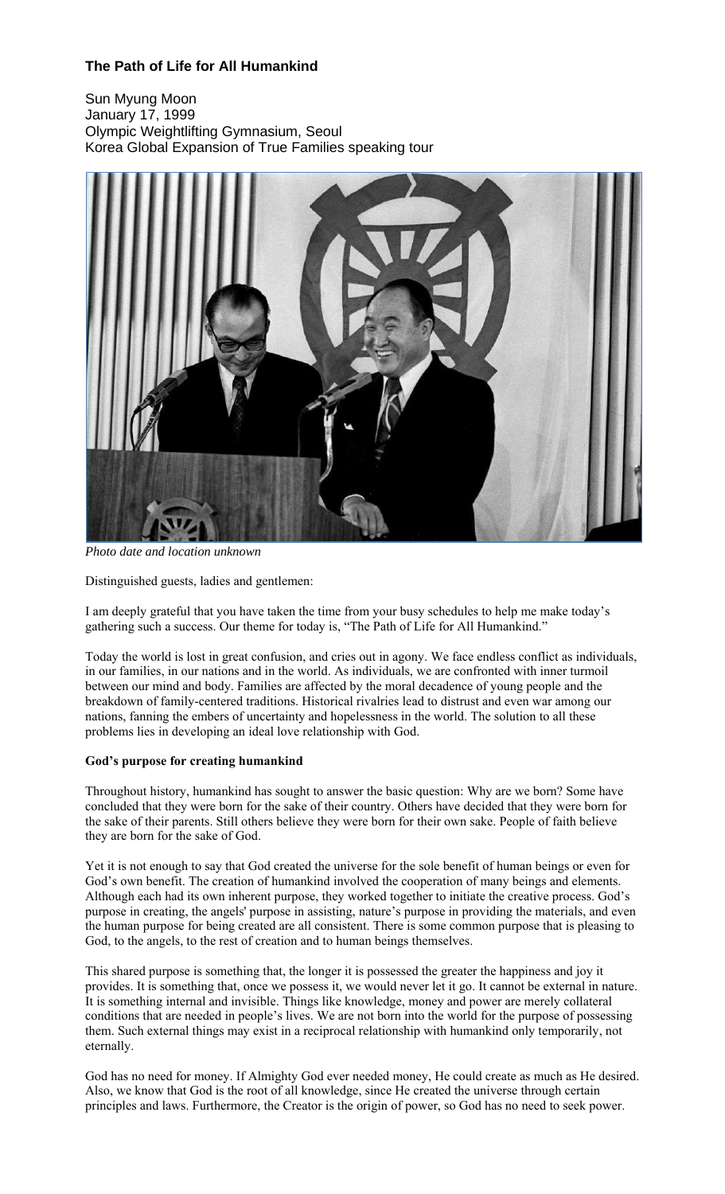# **The Path of Life for All Humankind**

Sun Myung Moon January 17, 1999 Olympic Weightlifting Gymnasium, Seoul Korea Global Expansion of True Families speaking tour



*Photo date and location unknown*

Distinguished guests, ladies and gentlemen:

I am deeply grateful that you have taken the time from your busy schedules to help me make today's gathering such a success. Our theme for today is, "The Path of Life for All Humankind."

Today the world is lost in great confusion, and cries out in agony. We face endless conflict as individuals, in our families, in our nations and in the world. As individuals, we are confronted with inner turmoil between our mind and body. Families are affected by the moral decadence of young people and the breakdown of family-centered traditions. Historical rivalries lead to distrust and even war among our nations, fanning the embers of uncertainty and hopelessness in the world. The solution to all these problems lies in developing an ideal love relationship with God.

## **God's purpose for creating humankind**

Throughout history, humankind has sought to answer the basic question: Why are we born? Some have concluded that they were born for the sake of their country. Others have decided that they were born for the sake of their parents. Still others believe they were born for their own sake. People of faith believe they are born for the sake of God.

Yet it is not enough to say that God created the universe for the sole benefit of human beings or even for God's own benefit. The creation of humankind involved the cooperation of many beings and elements. Although each had its own inherent purpose, they worked together to initiate the creative process. God's purpose in creating, the angels' purpose in assisting, nature's purpose in providing the materials, and even the human purpose for being created are all consistent. There is some common purpose that is pleasing to God, to the angels, to the rest of creation and to human beings themselves.

This shared purpose is something that, the longer it is possessed the greater the happiness and joy it provides. It is something that, once we possess it, we would never let it go. It cannot be external in nature. It is something internal and invisible. Things like knowledge, money and power are merely collateral conditions that are needed in people's lives. We are not born into the world for the purpose of possessing them. Such external things may exist in a reciprocal relationship with humankind only temporarily, not eternally.

God has no need for money. If Almighty God ever needed money, He could create as much as He desired. Also, we know that God is the root of all knowledge, since He created the universe through certain principles and laws. Furthermore, the Creator is the origin of power, so God has no need to seek power.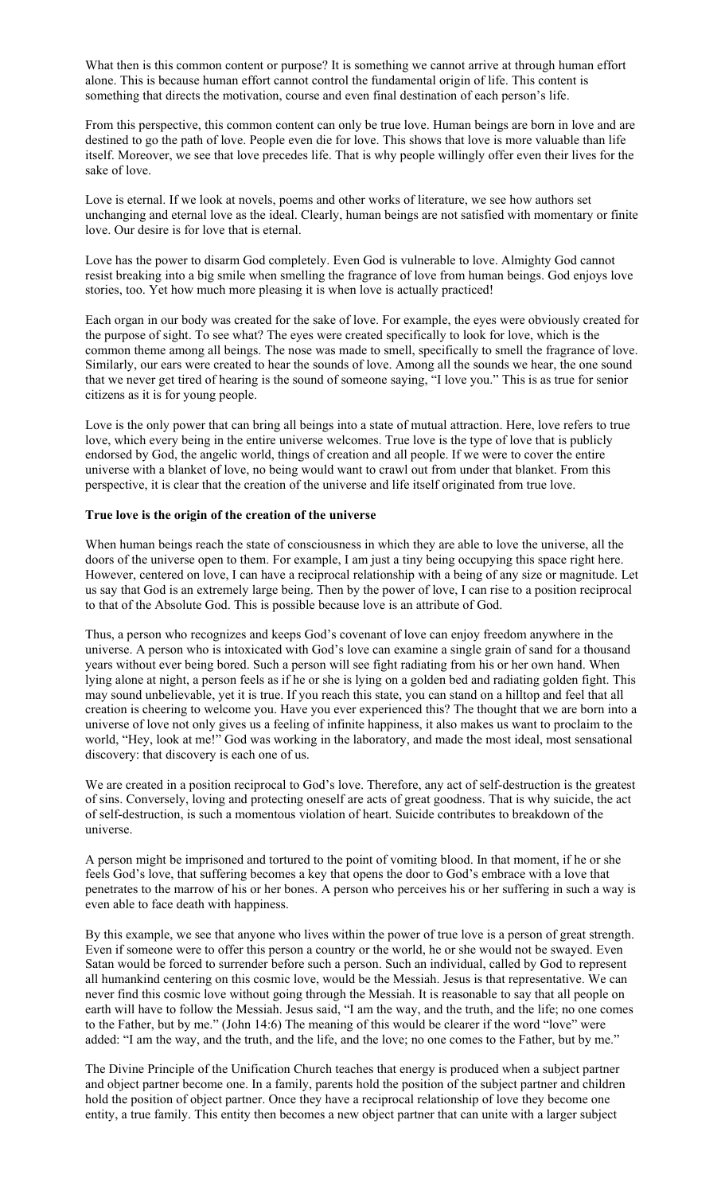What then is this common content or purpose? It is something we cannot arrive at through human effort alone. This is because human effort cannot control the fundamental origin of life. This content is something that directs the motivation, course and even final destination of each person's life.

From this perspective, this common content can only be true love. Human beings are born in love and are destined to go the path of love. People even die for love. This shows that love is more valuable than life itself. Moreover, we see that love precedes life. That is why people willingly offer even their lives for the sake of love.

Love is eternal. If we look at novels, poems and other works of literature, we see how authors set unchanging and eternal love as the ideal. Clearly, human beings are not satisfied with momentary or finite love. Our desire is for love that is eternal.

Love has the power to disarm God completely. Even God is vulnerable to love. Almighty God cannot resist breaking into a big smile when smelling the fragrance of love from human beings. God enjoys love stories, too. Yet how much more pleasing it is when love is actually practiced!

Each organ in our body was created for the sake of love. For example, the eyes were obviously created for the purpose of sight. To see what? The eyes were created specifically to look for love, which is the common theme among all beings. The nose was made to smell, specifically to smell the fragrance of love. Similarly, our ears were created to hear the sounds of love. Among all the sounds we hear, the one sound that we never get tired of hearing is the sound of someone saying, "I love you." This is as true for senior citizens as it is for young people.

Love is the only power that can bring all beings into a state of mutual attraction. Here, love refers to true love, which every being in the entire universe welcomes. True love is the type of love that is publicly endorsed by God, the angelic world, things of creation and all people. If we were to cover the entire universe with a blanket of love, no being would want to crawl out from under that blanket. From this perspective, it is clear that the creation of the universe and life itself originated from true love.

## **True love is the origin of the creation of the universe**

When human beings reach the state of consciousness in which they are able to love the universe, all the doors of the universe open to them. For example, I am just a tiny being occupying this space right here. However, centered on love, I can have a reciprocal relationship with a being of any size or magnitude. Let us say that God is an extremely large being. Then by the power of love, I can rise to a position reciprocal to that of the Absolute God. This is possible because love is an attribute of God.

Thus, a person who recognizes and keeps God's covenant of love can enjoy freedom anywhere in the universe. A person who is intoxicated with God's love can examine a single grain of sand for a thousand years without ever being bored. Such a person will see fight radiating from his or her own hand. When lying alone at night, a person feels as if he or she is lying on a golden bed and radiating golden fight. This may sound unbelievable, yet it is true. If you reach this state, you can stand on a hilltop and feel that all creation is cheering to welcome you. Have you ever experienced this? The thought that we are born into a universe of love not only gives us a feeling of infinite happiness, it also makes us want to proclaim to the world, "Hey, look at me!" God was working in the laboratory, and made the most ideal, most sensational discovery: that discovery is each one of us.

We are created in a position reciprocal to God's love. Therefore, any act of self-destruction is the greatest of sins. Conversely, loving and protecting oneself are acts of great goodness. That is why suicide, the act of self-destruction, is such a momentous violation of heart. Suicide contributes to breakdown of the universe.

A person might be imprisoned and tortured to the point of vomiting blood. In that moment, if he or she feels God's love, that suffering becomes a key that opens the door to God's embrace with a love that penetrates to the marrow of his or her bones. A person who perceives his or her suffering in such a way is even able to face death with happiness.

By this example, we see that anyone who lives within the power of true love is a person of great strength. Even if someone were to offer this person a country or the world, he or she would not be swayed. Even Satan would be forced to surrender before such a person. Such an individual, called by God to represent all humankind centering on this cosmic love, would be the Messiah. Jesus is that representative. We can never find this cosmic love without going through the Messiah. It is reasonable to say that all people on earth will have to follow the Messiah. Jesus said, "I am the way, and the truth, and the life; no one comes to the Father, but by me." (John 14:6) The meaning of this would be clearer if the word "love" were added: "I am the way, and the truth, and the life, and the love; no one comes to the Father, but by me."

The Divine Principle of the Unification Church teaches that energy is produced when a subject partner and object partner become one. In a family, parents hold the position of the subject partner and children hold the position of object partner. Once they have a reciprocal relationship of love they become one entity, a true family. This entity then becomes a new object partner that can unite with a larger subject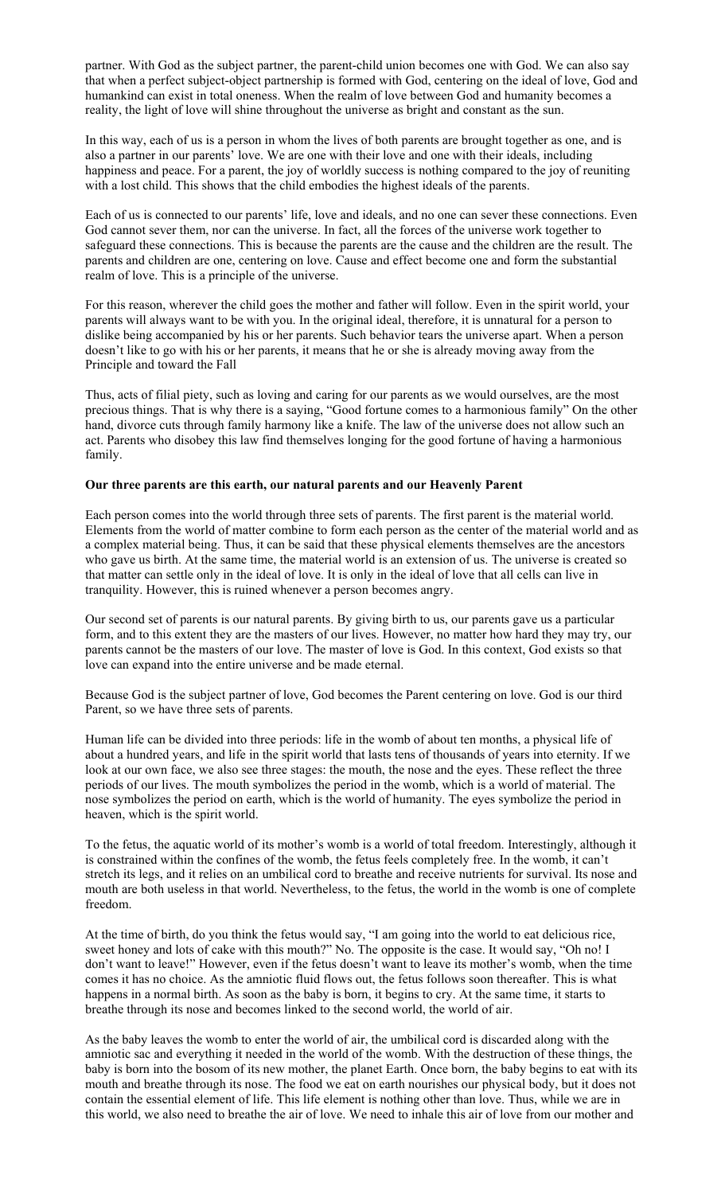partner. With God as the subject partner, the parent-child union becomes one with God. We can also say that when a perfect subject-object partnership is formed with God, centering on the ideal of love, God and humankind can exist in total oneness. When the realm of love between God and humanity becomes a reality, the light of love will shine throughout the universe as bright and constant as the sun.

In this way, each of us is a person in whom the lives of both parents are brought together as one, and is also a partner in our parents' love. We are one with their love and one with their ideals, including happiness and peace. For a parent, the joy of worldly success is nothing compared to the joy of reuniting with a lost child. This shows that the child embodies the highest ideals of the parents.

Each of us is connected to our parents' life, love and ideals, and no one can sever these connections. Even God cannot sever them, nor can the universe. In fact, all the forces of the universe work together to safeguard these connections. This is because the parents are the cause and the children are the result. The parents and children are one, centering on love. Cause and effect become one and form the substantial realm of love. This is a principle of the universe.

For this reason, wherever the child goes the mother and father will follow. Even in the spirit world, your parents will always want to be with you. In the original ideal, therefore, it is unnatural for a person to dislike being accompanied by his or her parents. Such behavior tears the universe apart. When a person doesn't like to go with his or her parents, it means that he or she is already moving away from the Principle and toward the Fall

Thus, acts of filial piety, such as loving and caring for our parents as we would ourselves, are the most precious things. That is why there is a saying, "Good fortune comes to a harmonious family" On the other hand, divorce cuts through family harmony like a knife. The law of the universe does not allow such an act. Parents who disobey this law find themselves longing for the good fortune of having a harmonious family.

## **Our three parents are this earth, our natural parents and our Heavenly Parent**

Each person comes into the world through three sets of parents. The first parent is the material world. Elements from the world of matter combine to form each person as the center of the material world and as a complex material being. Thus, it can be said that these physical elements themselves are the ancestors who gave us birth. At the same time, the material world is an extension of us. The universe is created so that matter can settle only in the ideal of love. It is only in the ideal of love that all cells can live in tranquility. However, this is ruined whenever a person becomes angry.

Our second set of parents is our natural parents. By giving birth to us, our parents gave us a particular form, and to this extent they are the masters of our lives. However, no matter how hard they may try, our parents cannot be the masters of our love. The master of love is God. In this context, God exists so that love can expand into the entire universe and be made eternal.

Because God is the subject partner of love, God becomes the Parent centering on love. God is our third Parent, so we have three sets of parents.

Human life can be divided into three periods: life in the womb of about ten months, a physical life of about a hundred years, and life in the spirit world that lasts tens of thousands of years into eternity. If we look at our own face, we also see three stages: the mouth, the nose and the eyes. These reflect the three periods of our lives. The mouth symbolizes the period in the womb, which is a world of material. The nose symbolizes the period on earth, which is the world of humanity. The eyes symbolize the period in heaven, which is the spirit world.

To the fetus, the aquatic world of its mother's womb is a world of total freedom. Interestingly, although it is constrained within the confines of the womb, the fetus feels completely free. In the womb, it can't stretch its legs, and it relies on an umbilical cord to breathe and receive nutrients for survival. Its nose and mouth are both useless in that world. Nevertheless, to the fetus, the world in the womb is one of complete freedom.

At the time of birth, do you think the fetus would say, "I am going into the world to eat delicious rice, sweet honey and lots of cake with this mouth?" No. The opposite is the case. It would say, "Oh no! I don't want to leave!" However, even if the fetus doesn't want to leave its mother's womb, when the time comes it has no choice. As the amniotic fluid flows out, the fetus follows soon thereafter. This is what happens in a normal birth. As soon as the baby is born, it begins to cry. At the same time, it starts to breathe through its nose and becomes linked to the second world, the world of air.

As the baby leaves the womb to enter the world of air, the umbilical cord is discarded along with the amniotic sac and everything it needed in the world of the womb. With the destruction of these things, the baby is born into the bosom of its new mother, the planet Earth. Once born, the baby begins to eat with its mouth and breathe through its nose. The food we eat on earth nourishes our physical body, but it does not contain the essential element of life. This life element is nothing other than love. Thus, while we are in this world, we also need to breathe the air of love. We need to inhale this air of love from our mother and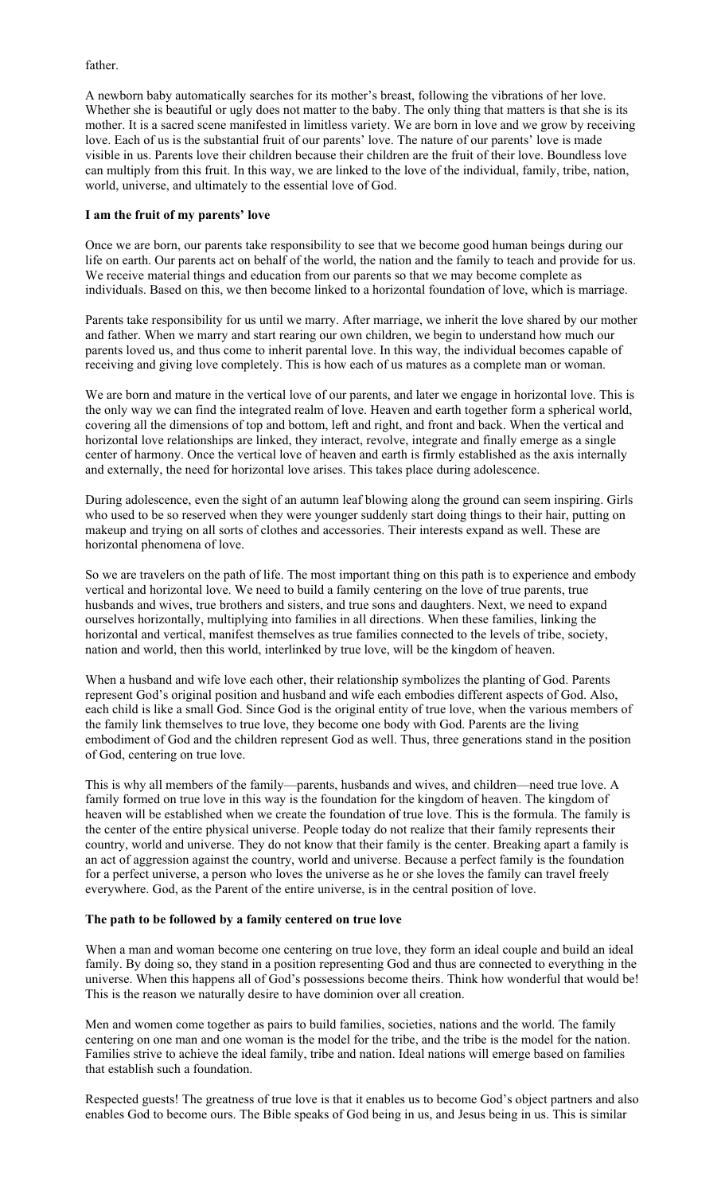father.

A newborn baby automatically searches for its mother's breast, following the vibrations of her love. Whether she is beautiful or ugly does not matter to the baby. The only thing that matters is that she is its mother. It is a sacred scene manifested in limitless variety. We are born in love and we grow by receiving love. Each of us is the substantial fruit of our parents' love. The nature of our parents' love is made visible in us. Parents love their children because their children are the fruit of their love. Boundless love can multiply from this fruit. In this way, we are linked to the love of the individual, family, tribe, nation, world, universe, and ultimately to the essential love of God.

#### **I am the fruit of my parents' love**

Once we are born, our parents take responsibility to see that we become good human beings during our life on earth. Our parents act on behalf of the world, the nation and the family to teach and provide for us. We receive material things and education from our parents so that we may become complete as individuals. Based on this, we then become linked to a horizontal foundation of love, which is marriage.

Parents take responsibility for us until we marry. After marriage, we inherit the love shared by our mother and father. When we marry and start rearing our own children, we begin to understand how much our parents loved us, and thus come to inherit parental love. In this way, the individual becomes capable of receiving and giving love completely. This is how each of us matures as a complete man or woman.

We are born and mature in the vertical love of our parents, and later we engage in horizontal love. This is the only way we can find the integrated realm of love. Heaven and earth together form a spherical world, covering all the dimensions of top and bottom, left and right, and front and back. When the vertical and horizontal love relationships are linked, they interact, revolve, integrate and finally emerge as a single center of harmony. Once the vertical love of heaven and earth is firmly established as the axis internally and externally, the need for horizontal love arises. This takes place during adolescence.

During adolescence, even the sight of an autumn leaf blowing along the ground can seem inspiring. Girls who used to be so reserved when they were younger suddenly start doing things to their hair, putting on makeup and trying on all sorts of clothes and accessories. Their interests expand as well. These are horizontal phenomena of love.

So we are travelers on the path of life. The most important thing on this path is to experience and embody vertical and horizontal love. We need to build a family centering on the love of true parents, true husbands and wives, true brothers and sisters, and true sons and daughters. Next, we need to expand ourselves horizontally, multiplying into families in all directions. When these families, linking the horizontal and vertical, manifest themselves as true families connected to the levels of tribe, society, nation and world, then this world, interlinked by true love, will be the kingdom of heaven.

When a husband and wife love each other, their relationship symbolizes the planting of God. Parents represent God's original position and husband and wife each embodies different aspects of God. Also, each child is like a small God. Since God is the original entity of true love, when the various members of the family link themselves to true love, they become one body with God. Parents are the living embodiment of God and the children represent God as well. Thus, three generations stand in the position of God, centering on true love.

This is why all members of the family—parents, husbands and wives, and children—need true love. A family formed on true love in this way is the foundation for the kingdom of heaven. The kingdom of heaven will be established when we create the foundation of true love. This is the formula. The family is the center of the entire physical universe. People today do not realize that their family represents their country, world and universe. They do not know that their family is the center. Breaking apart a family is an act of aggression against the country, world and universe. Because a perfect family is the foundation for a perfect universe, a person who loves the universe as he or she loves the family can travel freely everywhere. God, as the Parent of the entire universe, is in the central position of love.

#### **The path to be followed by a family centered on true love**

When a man and woman become one centering on true love, they form an ideal couple and build an ideal family. By doing so, they stand in a position representing God and thus are connected to everything in the universe. When this happens all of God's possessions become theirs. Think how wonderful that would be! This is the reason we naturally desire to have dominion over all creation.

Men and women come together as pairs to build families, societies, nations and the world. The family centering on one man and one woman is the model for the tribe, and the tribe is the model for the nation. Families strive to achieve the ideal family, tribe and nation. Ideal nations will emerge based on families that establish such a foundation.

Respected guests! The greatness of true love is that it enables us to become God's object partners and also enables God to become ours. The Bible speaks of God being in us, and Jesus being in us. This is similar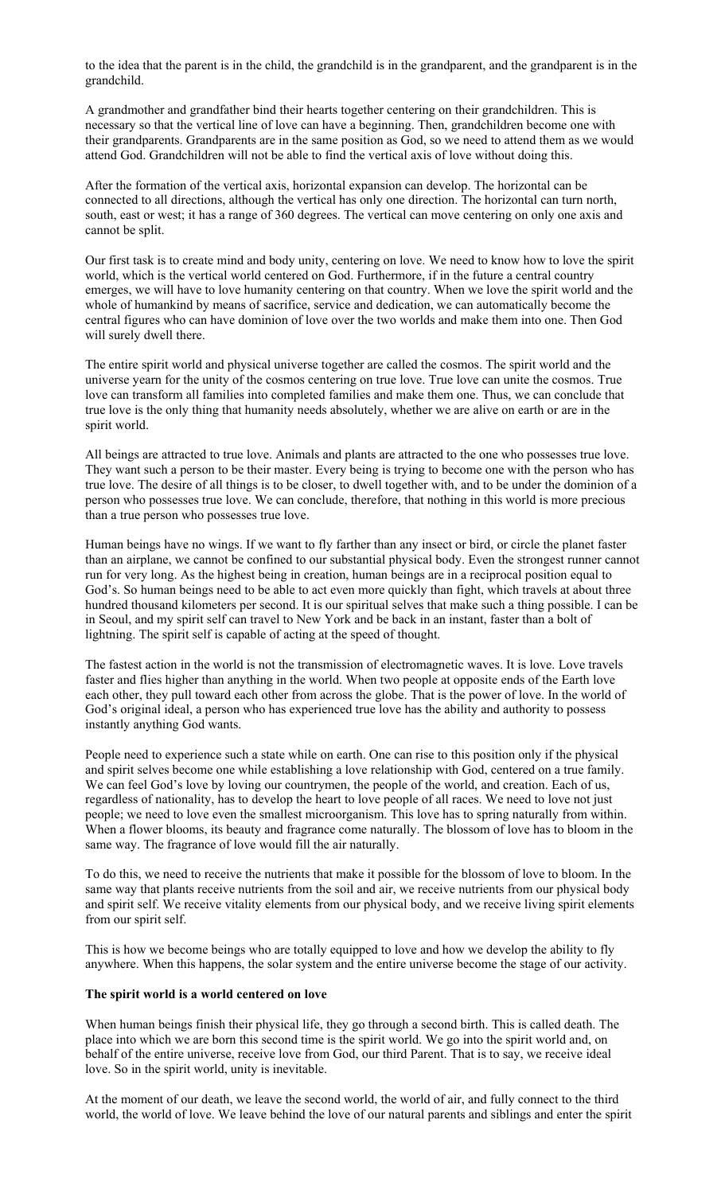to the idea that the parent is in the child, the grandchild is in the grandparent, and the grandparent is in the grandchild.

A grandmother and grandfather bind their hearts together centering on their grandchildren. This is necessary so that the vertical line of love can have a beginning. Then, grandchildren become one with their grandparents. Grandparents are in the same position as God, so we need to attend them as we would attend God. Grandchildren will not be able to find the vertical axis of love without doing this.

After the formation of the vertical axis, horizontal expansion can develop. The horizontal can be connected to all directions, although the vertical has only one direction. The horizontal can turn north, south, east or west; it has a range of 360 degrees. The vertical can move centering on only one axis and cannot be split.

Our first task is to create mind and body unity, centering on love. We need to know how to love the spirit world, which is the vertical world centered on God. Furthermore, if in the future a central country emerges, we will have to love humanity centering on that country. When we love the spirit world and the whole of humankind by means of sacrifice, service and dedication, we can automatically become the central figures who can have dominion of love over the two worlds and make them into one. Then God will surely dwell there.

The entire spirit world and physical universe together are called the cosmos. The spirit world and the universe yearn for the unity of the cosmos centering on true love. True love can unite the cosmos. True love can transform all families into completed families and make them one. Thus, we can conclude that true love is the only thing that humanity needs absolutely, whether we are alive on earth or are in the spirit world.

All beings are attracted to true love. Animals and plants are attracted to the one who possesses true love. They want such a person to be their master. Every being is trying to become one with the person who has true love. The desire of all things is to be closer, to dwell together with, and to be under the dominion of a person who possesses true love. We can conclude, therefore, that nothing in this world is more precious than a true person who possesses true love.

Human beings have no wings. If we want to fly farther than any insect or bird, or circle the planet faster than an airplane, we cannot be confined to our substantial physical body. Even the strongest runner cannot run for very long. As the highest being in creation, human beings are in a reciprocal position equal to God's. So human beings need to be able to act even more quickly than fight, which travels at about three hundred thousand kilometers per second. It is our spiritual selves that make such a thing possible. I can be in Seoul, and my spirit self can travel to New York and be back in an instant, faster than a bolt of lightning. The spirit self is capable of acting at the speed of thought.

The fastest action in the world is not the transmission of electromagnetic waves. It is love. Love travels faster and flies higher than anything in the world. When two people at opposite ends of the Earth love each other, they pull toward each other from across the globe. That is the power of love. In the world of God's original ideal, a person who has experienced true love has the ability and authority to possess instantly anything God wants.

People need to experience such a state while on earth. One can rise to this position only if the physical and spirit selves become one while establishing a love relationship with God, centered on a true family. We can feel God's love by loving our countrymen, the people of the world, and creation. Each of us, regardless of nationality, has to develop the heart to love people of all races. We need to love not just people; we need to love even the smallest microorganism. This love has to spring naturally from within. When a flower blooms, its beauty and fragrance come naturally. The blossom of love has to bloom in the same way. The fragrance of love would fill the air naturally.

To do this, we need to receive the nutrients that make it possible for the blossom of love to bloom. In the same way that plants receive nutrients from the soil and air, we receive nutrients from our physical body and spirit self. We receive vitality elements from our physical body, and we receive living spirit elements from our spirit self.

This is how we become beings who are totally equipped to love and how we develop the ability to fly anywhere. When this happens, the solar system and the entire universe become the stage of our activity.

#### **The spirit world is a world centered on love**

When human beings finish their physical life, they go through a second birth. This is called death. The place into which we are born this second time is the spirit world. We go into the spirit world and, on behalf of the entire universe, receive love from God, our third Parent. That is to say, we receive ideal love. So in the spirit world, unity is inevitable.

At the moment of our death, we leave the second world, the world of air, and fully connect to the third world, the world of love. We leave behind the love of our natural parents and siblings and enter the spirit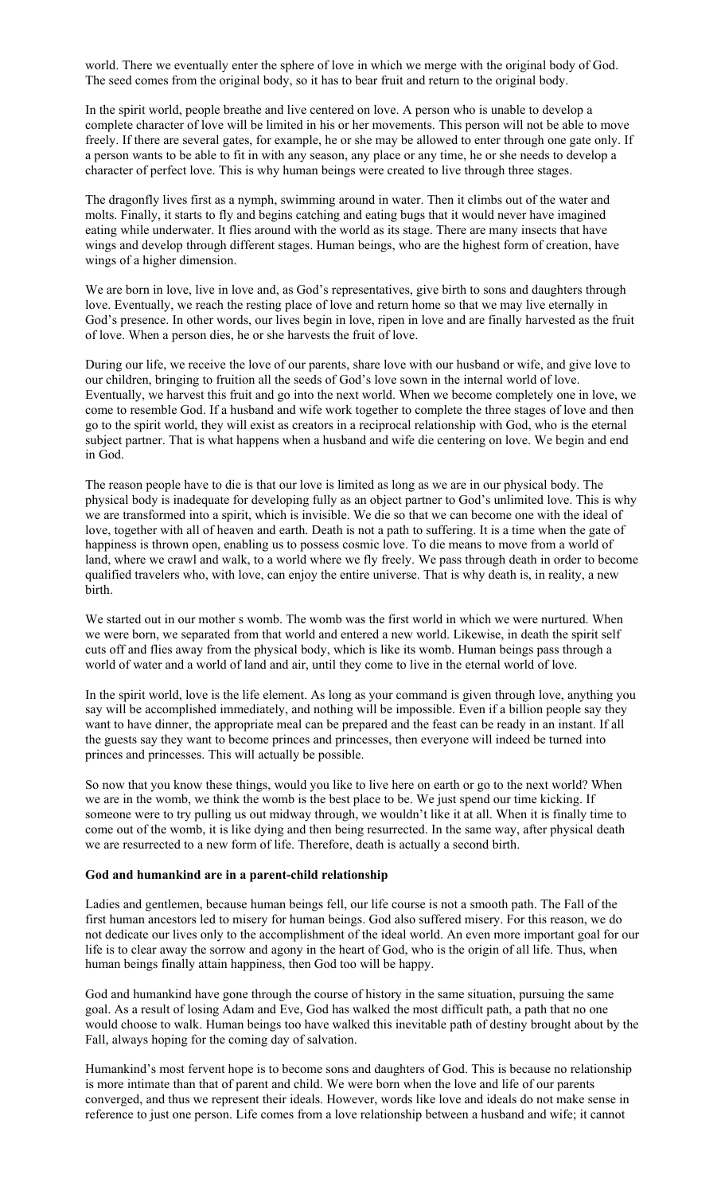world. There we eventually enter the sphere of love in which we merge with the original body of God. The seed comes from the original body, so it has to bear fruit and return to the original body.

In the spirit world, people breathe and live centered on love. A person who is unable to develop a complete character of love will be limited in his or her movements. This person will not be able to move freely. If there are several gates, for example, he or she may be allowed to enter through one gate only. If a person wants to be able to fit in with any season, any place or any time, he or she needs to develop a character of perfect love. This is why human beings were created to live through three stages.

The dragonfly lives first as a nymph, swimming around in water. Then it climbs out of the water and molts. Finally, it starts to fly and begins catching and eating bugs that it would never have imagined eating while underwater. It flies around with the world as its stage. There are many insects that have wings and develop through different stages. Human beings, who are the highest form of creation, have wings of a higher dimension.

We are born in love, live in love and, as God's representatives, give birth to sons and daughters through love. Eventually, we reach the resting place of love and return home so that we may live eternally in God's presence. In other words, our lives begin in love, ripen in love and are finally harvested as the fruit of love. When a person dies, he or she harvests the fruit of love.

During our life, we receive the love of our parents, share love with our husband or wife, and give love to our children, bringing to fruition all the seeds of God's love sown in the internal world of love. Eventually, we harvest this fruit and go into the next world. When we become completely one in love, we come to resemble God. If a husband and wife work together to complete the three stages of love and then go to the spirit world, they will exist as creators in a reciprocal relationship with God, who is the eternal subject partner. That is what happens when a husband and wife die centering on love. We begin and end in God.

The reason people have to die is that our love is limited as long as we are in our physical body. The physical body is inadequate for developing fully as an object partner to God's unlimited love. This is why we are transformed into a spirit, which is invisible. We die so that we can become one with the ideal of love, together with all of heaven and earth. Death is not a path to suffering. It is a time when the gate of happiness is thrown open, enabling us to possess cosmic love. To die means to move from a world of land, where we crawl and walk, to a world where we fly freely. We pass through death in order to become qualified travelers who, with love, can enjoy the entire universe. That is why death is, in reality, a new birth.

We started out in our mother s womb. The womb was the first world in which we were nurtured. When we were born, we separated from that world and entered a new world. Likewise, in death the spirit self cuts off and flies away from the physical body, which is like its womb. Human beings pass through a world of water and a world of land and air, until they come to live in the eternal world of love.

In the spirit world, love is the life element. As long as your command is given through love, anything you say will be accomplished immediately, and nothing will be impossible. Even if a billion people say they want to have dinner, the appropriate meal can be prepared and the feast can be ready in an instant. If all the guests say they want to become princes and princesses, then everyone will indeed be turned into princes and princesses. This will actually be possible.

So now that you know these things, would you like to live here on earth or go to the next world? When we are in the womb, we think the womb is the best place to be. We just spend our time kicking. If someone were to try pulling us out midway through, we wouldn't like it at all. When it is finally time to come out of the womb, it is like dying and then being resurrected. In the same way, after physical death we are resurrected to a new form of life. Therefore, death is actually a second birth.

#### **God and humankind are in a parent-child relationship**

Ladies and gentlemen, because human beings fell, our life course is not a smooth path. The Fall of the first human ancestors led to misery for human beings. God also suffered misery. For this reason, we do not dedicate our lives only to the accomplishment of the ideal world. An even more important goal for our life is to clear away the sorrow and agony in the heart of God, who is the origin of all life. Thus, when human beings finally attain happiness, then God too will be happy.

God and humankind have gone through the course of history in the same situation, pursuing the same goal. As a result of losing Adam and Eve, God has walked the most difficult path, a path that no one would choose to walk. Human beings too have walked this inevitable path of destiny brought about by the Fall, always hoping for the coming day of salvation.

Humankind's most fervent hope is to become sons and daughters of God. This is because no relationship is more intimate than that of parent and child. We were born when the love and life of our parents converged, and thus we represent their ideals. However, words like love and ideals do not make sense in reference to just one person. Life comes from a love relationship between a husband and wife; it cannot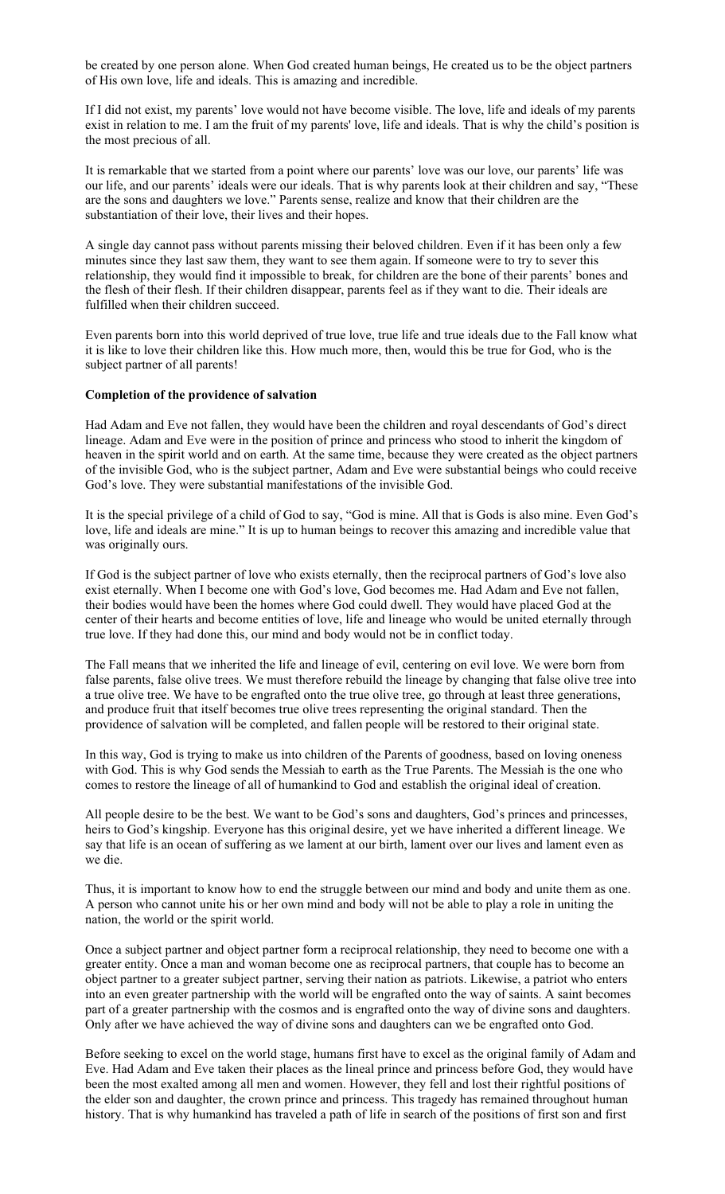be created by one person alone. When God created human beings, He created us to be the object partners of His own love, life and ideals. This is amazing and incredible.

If I did not exist, my parents' love would not have become visible. The love, life and ideals of my parents exist in relation to me. I am the fruit of my parents' love, life and ideals. That is why the child's position is the most precious of all.

It is remarkable that we started from a point where our parents' love was our love, our parents' life was our life, and our parents' ideals were our ideals. That is why parents look at their children and say, "These are the sons and daughters we love." Parents sense, realize and know that their children are the substantiation of their love, their lives and their hopes.

A single day cannot pass without parents missing their beloved children. Even if it has been only a few minutes since they last saw them, they want to see them again. If someone were to try to sever this relationship, they would find it impossible to break, for children are the bone of their parents' bones and the flesh of their flesh. If their children disappear, parents feel as if they want to die. Their ideals are fulfilled when their children succeed.

Even parents born into this world deprived of true love, true life and true ideals due to the Fall know what it is like to love their children like this. How much more, then, would this be true for God, who is the subject partner of all parents!

## **Completion of the providence of salvation**

Had Adam and Eve not fallen, they would have been the children and royal descendants of God's direct lineage. Adam and Eve were in the position of prince and princess who stood to inherit the kingdom of heaven in the spirit world and on earth. At the same time, because they were created as the object partners of the invisible God, who is the subject partner, Adam and Eve were substantial beings who could receive God's love. They were substantial manifestations of the invisible God.

It is the special privilege of a child of God to say, "God is mine. All that is Gods is also mine. Even God's love, life and ideals are mine." It is up to human beings to recover this amazing and incredible value that was originally ours.

If God is the subject partner of love who exists eternally, then the reciprocal partners of God's love also exist eternally. When I become one with God's love, God becomes me. Had Adam and Eve not fallen, their bodies would have been the homes where God could dwell. They would have placed God at the center of their hearts and become entities of love, life and lineage who would be united eternally through true love. If they had done this, our mind and body would not be in conflict today.

The Fall means that we inherited the life and lineage of evil, centering on evil love. We were born from false parents, false olive trees. We must therefore rebuild the lineage by changing that false olive tree into a true olive tree. We have to be engrafted onto the true olive tree, go through at least three generations, and produce fruit that itself becomes true olive trees representing the original standard. Then the providence of salvation will be completed, and fallen people will be restored to their original state.

In this way, God is trying to make us into children of the Parents of goodness, based on loving oneness with God. This is why God sends the Messiah to earth as the True Parents. The Messiah is the one who comes to restore the lineage of all of humankind to God and establish the original ideal of creation.

All people desire to be the best. We want to be God's sons and daughters, God's princes and princesses, heirs to God's kingship. Everyone has this original desire, yet we have inherited a different lineage. We say that life is an ocean of suffering as we lament at our birth, lament over our lives and lament even as we die.

Thus, it is important to know how to end the struggle between our mind and body and unite them as one. A person who cannot unite his or her own mind and body will not be able to play a role in uniting the nation, the world or the spirit world.

Once a subject partner and object partner form a reciprocal relationship, they need to become one with a greater entity. Once a man and woman become one as reciprocal partners, that couple has to become an object partner to a greater subject partner, serving their nation as patriots. Likewise, a patriot who enters into an even greater partnership with the world will be engrafted onto the way of saints. A saint becomes part of a greater partnership with the cosmos and is engrafted onto the way of divine sons and daughters. Only after we have achieved the way of divine sons and daughters can we be engrafted onto God.

Before seeking to excel on the world stage, humans first have to excel as the original family of Adam and Eve. Had Adam and Eve taken their places as the lineal prince and princess before God, they would have been the most exalted among all men and women. However, they fell and lost their rightful positions of the elder son and daughter, the crown prince and princess. This tragedy has remained throughout human history. That is why humankind has traveled a path of life in search of the positions of first son and first